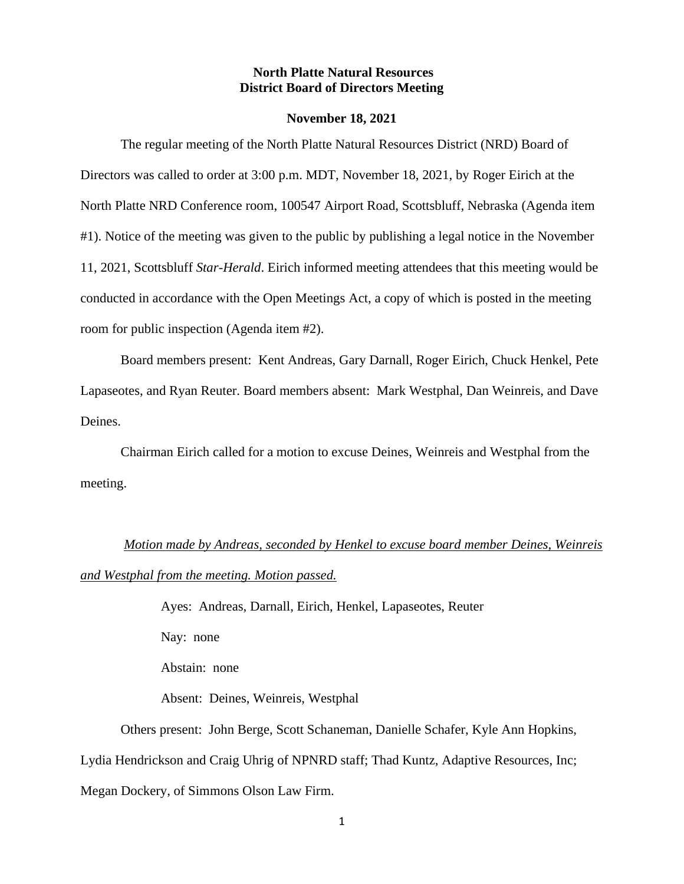### **North Platte Natural Resources District Board of Directors Meeting**

#### **November 18, 2021**

The regular meeting of the North Platte Natural Resources District (NRD) Board of Directors was called to order at 3:00 p.m. MDT, November 18, 2021, by Roger Eirich at the North Platte NRD Conference room, 100547 Airport Road, Scottsbluff, Nebraska (Agenda item #1). Notice of the meeting was given to the public by publishing a legal notice in the November 11, 2021, Scottsbluff *Star-Herald*. Eirich informed meeting attendees that this meeting would be conducted in accordance with the Open Meetings Act, a copy of which is posted in the meeting room for public inspection (Agenda item #2).

Board members present: Kent Andreas, Gary Darnall, Roger Eirich, Chuck Henkel, Pete Lapaseotes, and Ryan Reuter. Board members absent: Mark Westphal, Dan Weinreis, and Dave Deines.

Chairman Eirich called for a motion to excuse Deines, Weinreis and Westphal from the meeting.

## *Motion made by Andreas, seconded by Henkel to excuse board member Deines, Weinreis*

#### *and Westphal from the meeting. Motion passed.*

Ayes: Andreas, Darnall, Eirich, Henkel, Lapaseotes, Reuter Nay: none Abstain: none

Absent: Deines, Weinreis, Westphal

Others present: John Berge, Scott Schaneman, Danielle Schafer, Kyle Ann Hopkins, Lydia Hendrickson and Craig Uhrig of NPNRD staff; Thad Kuntz, Adaptive Resources, Inc; Megan Dockery, of Simmons Olson Law Firm.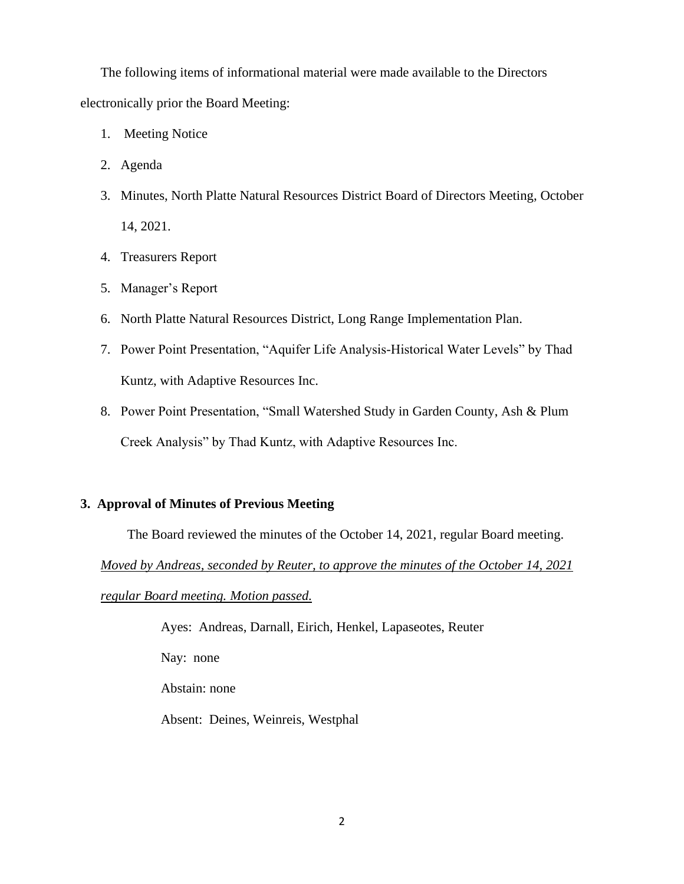The following items of informational material were made available to the Directors electronically prior the Board Meeting:

- 1. Meeting Notice
- 2. Agenda
- 3. Minutes, North Platte Natural Resources District Board of Directors Meeting, October 14, 2021.
- 4. Treasurers Report
- 5. Manager's Report
- 6. North Platte Natural Resources District, Long Range Implementation Plan.
- 7. Power Point Presentation, "Aquifer Life Analysis-Historical Water Levels" by Thad Kuntz, with Adaptive Resources Inc.
- 8. Power Point Presentation, "Small Watershed Study in Garden County, Ash & Plum Creek Analysis" by Thad Kuntz, with Adaptive Resources Inc.

## **3. Approval of Minutes of Previous Meeting**

The Board reviewed the minutes of the October 14, 2021, regular Board meeting.

*Moved by Andreas, seconded by Reuter, to approve the minutes of the October 14, 2021* 

*regular Board meeting. Motion passed.*

Ayes: Andreas, Darnall, Eirich, Henkel, Lapaseotes, Reuter

Nay: none

Abstain: none

Absent: Deines, Weinreis, Westphal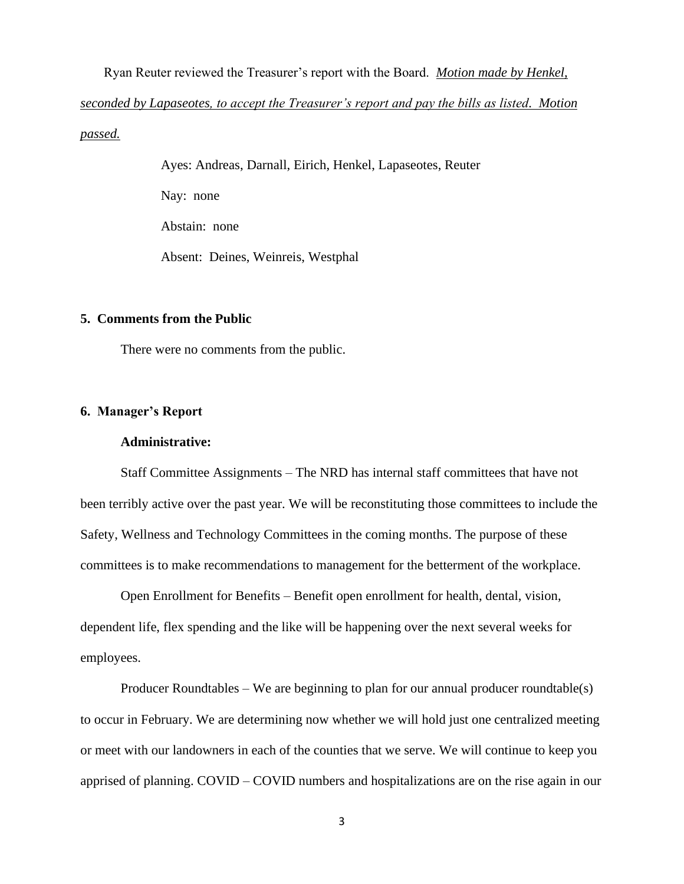Ryan Reuter reviewed the Treasurer's report with the Board. *Motion made by Henkel, seconded by Lapaseotes, to accept the Treasurer's report and pay the bills as listed. Motion passed.*

> Ayes: Andreas, Darnall, Eirich, Henkel, Lapaseotes, Reuter Nay: none Abstain: none Absent: Deines, Weinreis, Westphal

#### **5. Comments from the Public**

There were no comments from the public.

## **6. Manager's Report**

## **Administrative:**

Staff Committee Assignments – The NRD has internal staff committees that have not been terribly active over the past year. We will be reconstituting those committees to include the Safety, Wellness and Technology Committees in the coming months. The purpose of these committees is to make recommendations to management for the betterment of the workplace.

Open Enrollment for Benefits – Benefit open enrollment for health, dental, vision, dependent life, flex spending and the like will be happening over the next several weeks for employees.

Producer Roundtables – We are beginning to plan for our annual producer roundtable(s) to occur in February. We are determining now whether we will hold just one centralized meeting or meet with our landowners in each of the counties that we serve. We will continue to keep you apprised of planning. COVID – COVID numbers and hospitalizations are on the rise again in our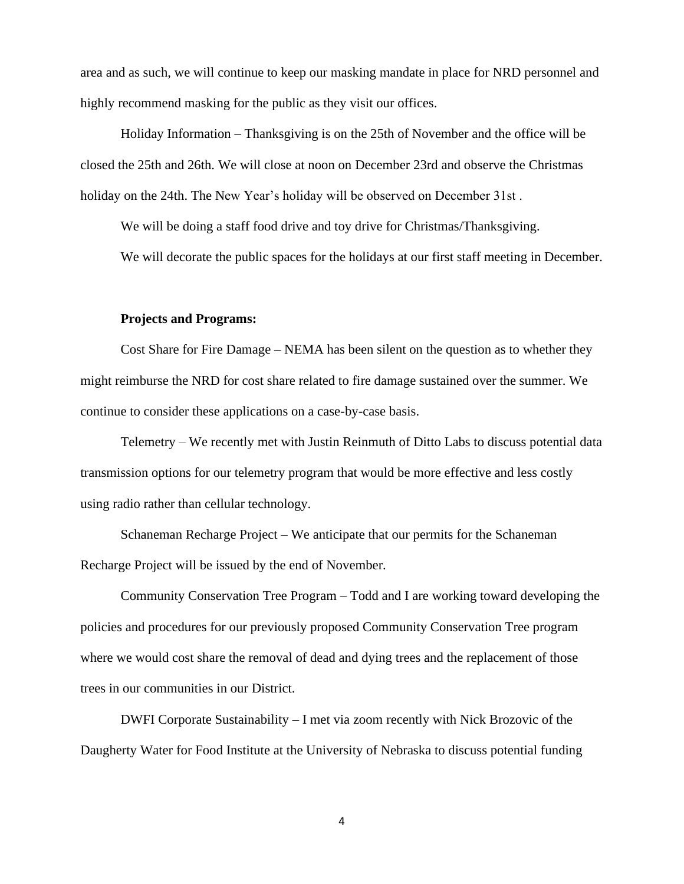area and as such, we will continue to keep our masking mandate in place for NRD personnel and highly recommend masking for the public as they visit our offices.

Holiday Information – Thanksgiving is on the 25th of November and the office will be closed the 25th and 26th. We will close at noon on December 23rd and observe the Christmas holiday on the 24th. The New Year's holiday will be observed on December 31st .

We will be doing a staff food drive and toy drive for Christmas/Thanksgiving.

We will decorate the public spaces for the holidays at our first staff meeting in December.

#### **Projects and Programs:**

Cost Share for Fire Damage – NEMA has been silent on the question as to whether they might reimburse the NRD for cost share related to fire damage sustained over the summer. We continue to consider these applications on a case-by-case basis.

Telemetry – We recently met with Justin Reinmuth of Ditto Labs to discuss potential data transmission options for our telemetry program that would be more effective and less costly using radio rather than cellular technology.

Schaneman Recharge Project – We anticipate that our permits for the Schaneman Recharge Project will be issued by the end of November.

Community Conservation Tree Program – Todd and I are working toward developing the policies and procedures for our previously proposed Community Conservation Tree program where we would cost share the removal of dead and dying trees and the replacement of those trees in our communities in our District.

DWFI Corporate Sustainability – I met via zoom recently with Nick Brozovic of the Daugherty Water for Food Institute at the University of Nebraska to discuss potential funding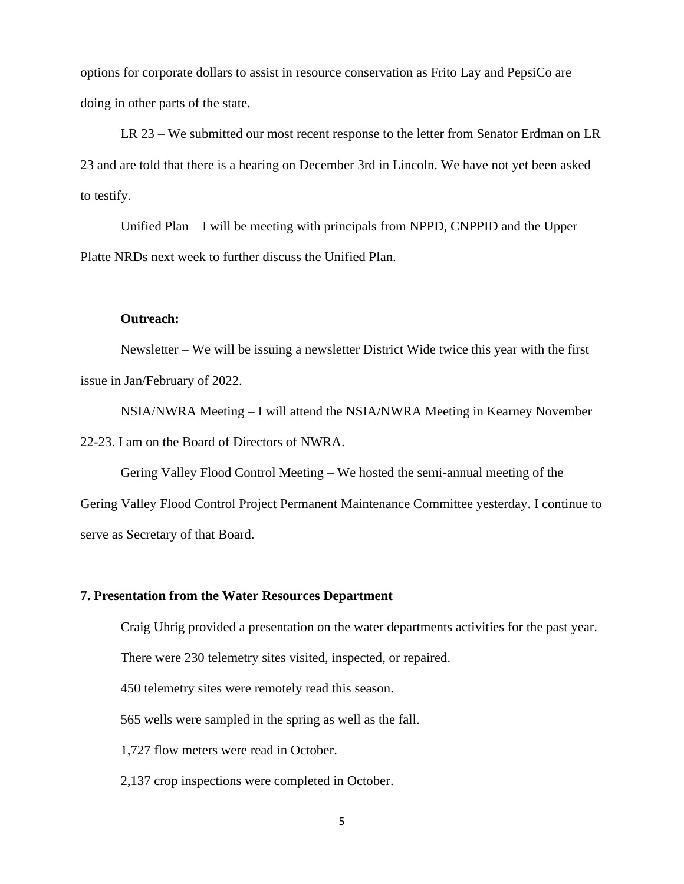options for corporate dollars to assist in resource conservation as Frito Lay and PepsiCo are doing in other parts of the state.

LR 23 – We submitted our most recent response to the letter from Senator Erdman on LR 23 and are told that there is a hearing on December 3rd in Lincoln. We have not yet been asked to testify.

Unified Plan – I will be meeting with principals from NPPD, CNPPID and the Upper Platte NRDs next week to further discuss the Unified Plan.

#### **Outreach:**

Newsletter – We will be issuing a newsletter District Wide twice this year with the first issue in Jan/February of 2022.

NSIA/NWRA Meeting – I will attend the NSIA/NWRA Meeting in Kearney November 22-23. I am on the Board of Directors of NWRA.

Gering Valley Flood Control Meeting – We hosted the semi-annual meeting of the Gering Valley Flood Control Project Permanent Maintenance Committee yesterday. I continue to serve as Secretary of that Board.

#### **7. Presentation from the Water Resources Department**

Craig Uhrig provided a presentation on the water departments activities for the past year.

There were 230 telemetry sites visited, inspected, or repaired.

450 telemetry sites were remotely read this season.

565 wells were sampled in the spring as well as the fall.

1,727 flow meters were read in October.

2,137 crop inspections were completed in October.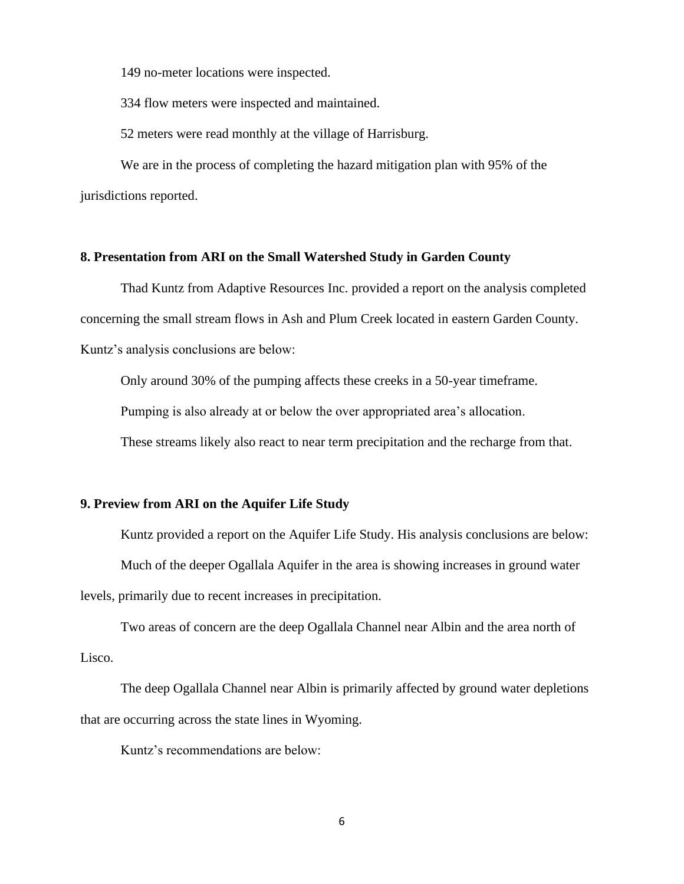149 no-meter locations were inspected.

334 flow meters were inspected and maintained.

52 meters were read monthly at the village of Harrisburg.

We are in the process of completing the hazard mitigation plan with 95% of the jurisdictions reported.

## **8. Presentation from ARI on the Small Watershed Study in Garden County**

Thad Kuntz from Adaptive Resources Inc. provided a report on the analysis completed concerning the small stream flows in Ash and Plum Creek located in eastern Garden County. Kuntz's analysis conclusions are below:

Only around 30% of the pumping affects these creeks in a 50-year timeframe.

Pumping is also already at or below the over appropriated area's allocation.

These streams likely also react to near term precipitation and the recharge from that.

#### **9. Preview from ARI on the Aquifer Life Study**

Kuntz provided a report on the Aquifer Life Study. His analysis conclusions are below: Much of the deeper Ogallala Aquifer in the area is showing increases in ground water levels, primarily due to recent increases in precipitation.

Two areas of concern are the deep Ogallala Channel near Albin and the area north of Lisco.

The deep Ogallala Channel near Albin is primarily affected by ground water depletions that are occurring across the state lines in Wyoming.

Kuntz's recommendations are below: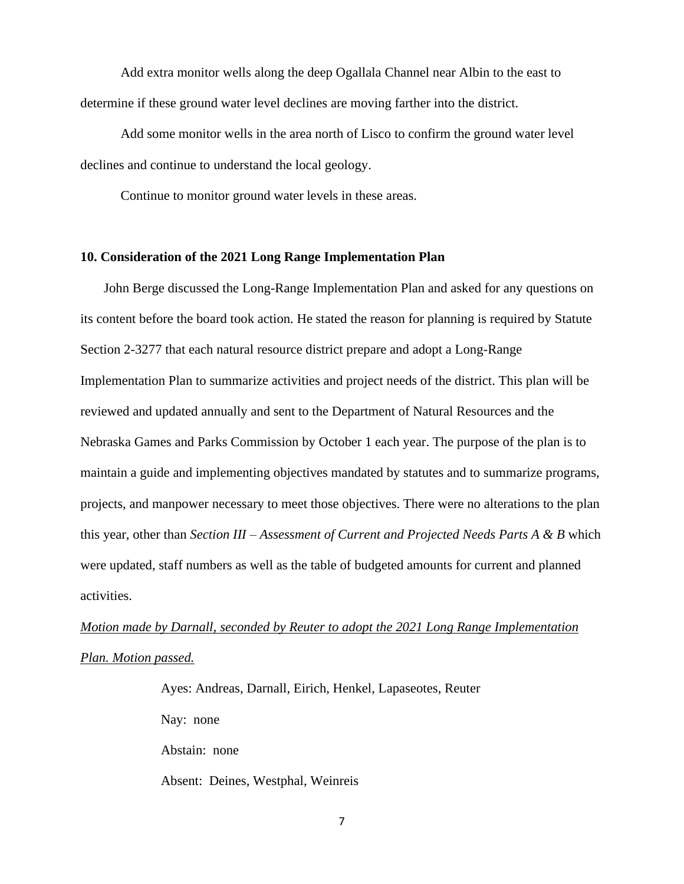Add extra monitor wells along the deep Ogallala Channel near Albin to the east to determine if these ground water level declines are moving farther into the district.

Add some monitor wells in the area north of Lisco to confirm the ground water level declines and continue to understand the local geology.

Continue to monitor ground water levels in these areas.

## **10. Consideration of the 2021 Long Range Implementation Plan**

 John Berge discussed the Long-Range Implementation Plan and asked for any questions on its content before the board took action. He stated the reason for planning is required by Statute Section 2-3277 that each natural resource district prepare and adopt a Long-Range Implementation Plan to summarize activities and project needs of the district. This plan will be reviewed and updated annually and sent to the Department of Natural Resources and the Nebraska Games and Parks Commission by October 1 each year. The purpose of the plan is to maintain a guide and implementing objectives mandated by statutes and to summarize programs, projects, and manpower necessary to meet those objectives. There were no alterations to the plan this year, other than *Section III – Assessment of Current and Projected Needs Parts A & B* which were updated, staff numbers as well as the table of budgeted amounts for current and planned activities.

# *Motion made by Darnall, seconded by Reuter to adopt the 2021 Long Range Implementation Plan. Motion passed.*

Ayes: Andreas, Darnall, Eirich, Henkel, Lapaseotes, Reuter Nay: none Abstain: none Absent: Deines, Westphal, Weinreis